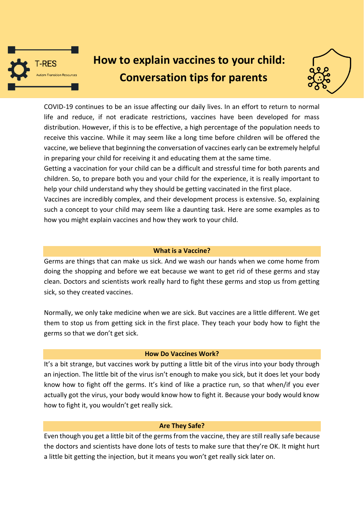

# **How to explain vaccines to your child: Conversation tips for parents**



COVID-19 continues to be an issue affecting our daily lives. In an effort to return to normal life and reduce, if not eradicate restrictions, vaccines have been developed for mass distribution. However, if this is to be effective, a high percentage of the population needs to receive this vaccine. While it may seem like a long time before children will be offered the vaccine, we believe that beginning the conversation of vaccines early can be extremely helpful in preparing your child for receiving it and educating them at the same time.

Getting a vaccination for your child can be a difficult and stressful time for both parents and children. So, to prepare both you and your child for the experience, it is really important to help your child understand why they should be getting vaccinated in the first place.

Vaccines are incredibly complex, and their development process is extensive. So, explaining such a concept to your child may seem like a daunting task. Here are some examples as to how you might explain vaccines and how they work to your child.

### **What is a Vaccine?**

Germs are things that can make us sick. And we wash our hands when we come home from doing the shopping and before we eat because we want to get rid of these germs and stay clean. Doctors and scientists work really hard to fight these germs and stop us from getting sick, so they created vaccines.

Normally, we only take medicine when we are sick. But vaccines are a little different. We get them to stop us from getting sick in the first place. They teach your body how to fight the germs so that we don't get sick.

### **How Do Vaccines Work?**

It's a bit strange, but vaccines work by putting a little bit of the virus into your body through an injection. The little bit of the virus isn't enough to make you sick, but it does let your body know how to fight off the germs. It's kind of like a practice run, so that when/if you ever actually got the virus, your body would know how to fight it. Because your body would know how to fight it, you wouldn't get really sick.

### **Are They Safe?**

Even though you get a little bit of the germs from the vaccine, they are still really safe because the doctors and scientists have done lots of tests to make sure that they're OK. It might hurt a little bit getting the injection, but it means you won't get really sick later on.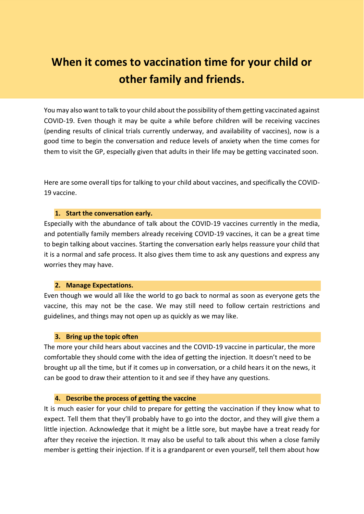## **When it comes to vaccination time for your child or other family and friends.**

You may also want to talk to your child about the possibility of them getting vaccinated against COVID-19. Even though it may be quite a while before children will be receiving vaccines (pending results of clinical trials currently underway, and availability of vaccines), now is a good time to begin the conversation and reduce levels of anxiety when the time comes for them to visit the GP, especially given that adults in their life may be getting vaccinated soon.

Here are some overall tips for talking to your child about vaccines, and specifically the COVID-19 vaccine.

### **1. Start the conversation early.**

Especially with the abundance of talk about the COVID-19 vaccines currently in the media, and potentially family members already receiving COVID-19 vaccines, it can be a great time to begin talking about vaccines. Starting the conversation early helps reassure your child that it is a normal and safe process. It also gives them time to ask any questions and express any worries they may have.

### **2. Manage Expectations.**

Even though we would all like the world to go back to normal as soon as everyone gets the vaccine, this may not be the case. We may still need to follow certain restrictions and guidelines, and things may not open up as quickly as we may like.

### **3. Bring up the topic often**

The more your child hears about vaccines and the COVID-19 vaccine in particular, the more comfortable they should come with the idea of getting the injection. It doesn't need to be brought up all the time, but if it comes up in conversation, or a child hears it on the news, it can be good to draw their attention to it and see if they have any questions.

### **4. Describe the process of getting the vaccine**

It is much easier for your child to prepare for getting the vaccination if they know what to expect. Tell them that they'll probably have to go into the doctor, and they will give them a little injection. Acknowledge that it might be a little sore, but maybe have a treat ready for after they receive the injection. It may also be useful to talk about this when a close family member is getting their injection. If it is a grandparent or even yourself, tell them about how